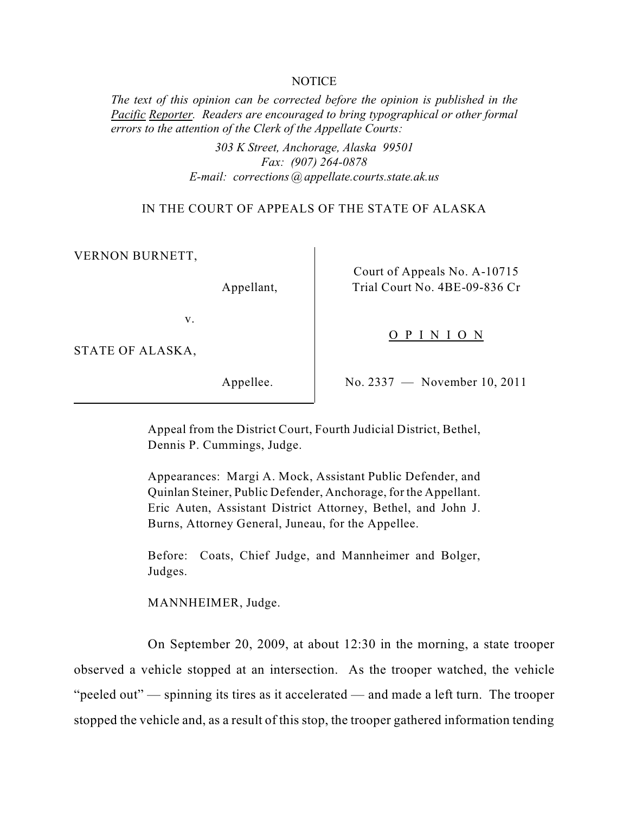#### **NOTICE**

*The text of this opinion can be corrected before the opinion is published in the Pacific Reporter. Readers are encouraged to bring typographical or other formal errors to the attention of the Clerk of the Appellate Courts:* 

> *303 K Street, Anchorage, Alaska 99501 Fax: (907) 264-0878 E-mail: corrections @ appellate.courts.state.ak.us*

IN THE COURT OF APPEALS OF THE STATE OF ALASKA

VERNON BURNETT,

Appellant,

Court of Appeals No. A-10715 Trial Court No. 4BE-09-836 Cr

v.

STATE OF ALASKA,

Appellee.

No. 2337 — November 10, 2011

O P I N I O N

Appeal from the District Court, Fourth Judicial District, Bethel, Dennis P. Cummings, Judge.

Appearances: Margi A. Mock, Assistant Public Defender, and Quinlan Steiner, Public Defender, Anchorage, for the Appellant. Eric Auten, Assistant District Attorney, Bethel, and John J. Burns, Attorney General, Juneau, for the Appellee.

Before: Coats, Chief Judge, and Mannheimer and Bolger, Judges.

MANNHEIMER, Judge.

On September 20, 2009, at about 12:30 in the morning, a state trooper observed a vehicle stopped at an intersection. As the trooper watched, the vehicle "peeled out" — spinning its tires as it accelerated — and made a left turn. The trooper stopped the vehicle and, as a result of this stop, the trooper gathered information tending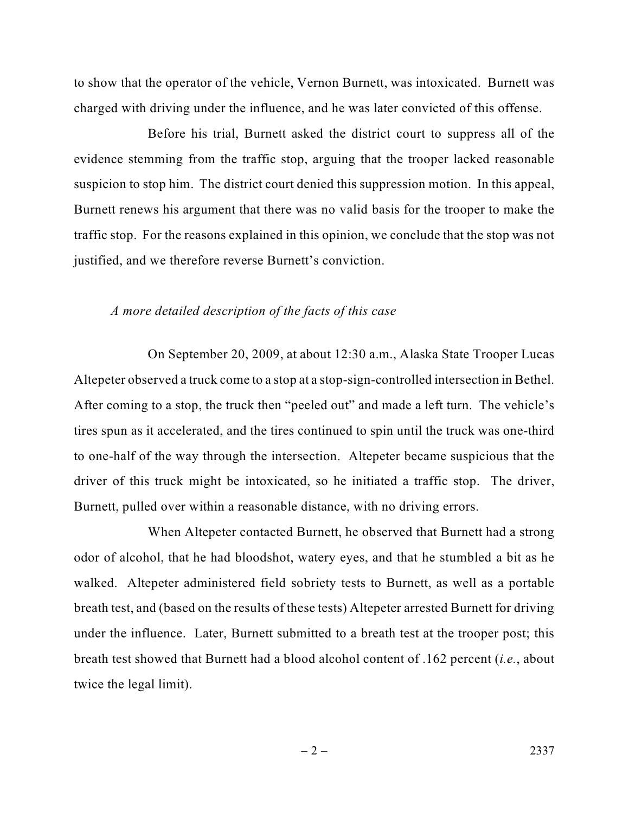to show that the operator of the vehicle, Vernon Burnett, was intoxicated. Burnett was charged with driving under the influence, and he was later convicted of this offense.

Before his trial, Burnett asked the district court to suppress all of the evidence stemming from the traffic stop, arguing that the trooper lacked reasonable suspicion to stop him. The district court denied this suppression motion. In this appeal, Burnett renews his argument that there was no valid basis for the trooper to make the traffic stop. For the reasons explained in this opinion, we conclude that the stop was not justified, and we therefore reverse Burnett's conviction.

#### *A more detailed description of the facts of this case*

On September 20, 2009, at about 12:30 a.m., Alaska State Trooper Lucas Altepeter observed a truck come to a stop at a stop-sign-controlled intersection in Bethel. After coming to a stop, the truck then "peeled out" and made a left turn. The vehicle's tires spun as it accelerated, and the tires continued to spin until the truck was one-third to one-half of the way through the intersection. Altepeter became suspicious that the driver of this truck might be intoxicated, so he initiated a traffic stop. The driver, Burnett, pulled over within a reasonable distance, with no driving errors.

When Altepeter contacted Burnett, he observed that Burnett had a strong odor of alcohol, that he had bloodshot, watery eyes, and that he stumbled a bit as he walked. Altepeter administered field sobriety tests to Burnett, as well as a portable breath test, and (based on the results of these tests) Altepeter arrested Burnett for driving under the influence. Later, Burnett submitted to a breath test at the trooper post; this breath test showed that Burnett had a blood alcohol content of .162 percent (*i.e.*, about twice the legal limit).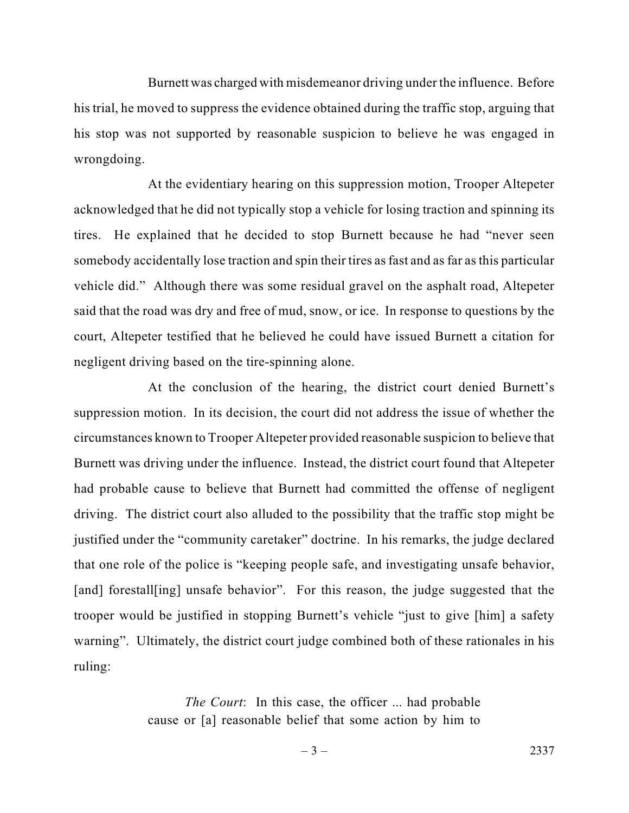Burnett was charged with misdemeanor driving under the influence. Before his trial, he moved to suppress the evidence obtained during the traffic stop, arguing that his stop was not supported by reasonable suspicion to believe he was engaged in wrongdoing.

At the evidentiary hearing on this suppression motion, Trooper Altepeter acknowledged that he did not typically stop a vehicle for losing traction and spinning its tires. He explained that he decided to stop Burnett because he had "never seen somebody accidentally lose traction and spin their tires as fast and as far as this particular vehicle did." Although there was some residual gravel on the asphalt road, Altepeter said that the road was dry and free of mud, snow, or ice. In response to questions by the court, Altepeter testified that he believed he could have issued Burnett a citation for negligent driving based on the tire-spinning alone.

At the conclusion of the hearing, the district court denied Burnett's suppression motion. In its decision, the court did not address the issue of whether the circumstances known to Trooper Altepeter provided reasonable suspicion to believe that Burnett was driving under the influence. Instead, the district court found that Altepeter had probable cause to believe that Burnett had committed the offense of negligent driving. The district court also alluded to the possibility that the traffic stop might be justified under the "community caretaker" doctrine. In his remarks, the judge declared that one role of the police is "keeping people safe, and investigating unsafe behavior, [and] forestall[ing] unsafe behavior". For this reason, the judge suggested that the trooper would be justified in stopping Burnett's vehicle "just to give [him] a safety warning". Ultimately, the district court judge combined both of these rationales in his ruling:

> *The Court*: In this case, the officer ... had probable cause or [a] reasonable belief that some action by him to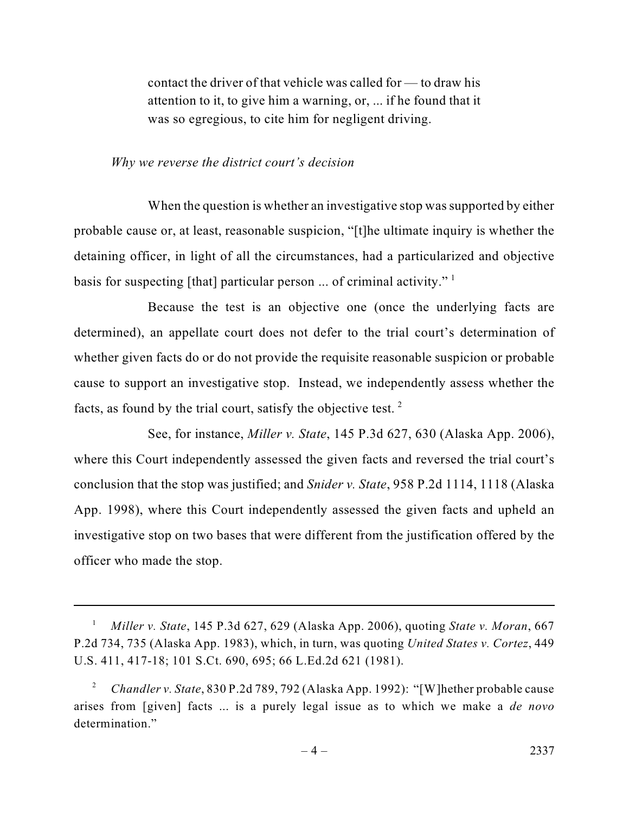contact the driver of that vehicle was called for — to draw his attention to it, to give him a warning, or, ... if he found that it was so egregious, to cite him for negligent driving.

#### *Why we reverse the district court's decision*

When the question is whether an investigative stop was supported by either probable cause or, at least, reasonable suspicion, "[t]he ultimate inquiry is whether the detaining officer, in light of all the circumstances, had a particularized and objective basis for suspecting [that] particular person ... of criminal activity."  $\frac{1}{1}$ 

Because the test is an objective one (once the underlying facts are determined), an appellate court does not defer to the trial court's determination of whether given facts do or do not provide the requisite reasonable suspicion or probable cause to support an investigative stop. Instead, we independently assess whether the facts, as found by the trial court, satisfy the objective test.  $2^2$ 

See, for instance, *Miller v. State*, 145 P.3d 627, 630 (Alaska App. 2006), where this Court independently assessed the given facts and reversed the trial court's conclusion that the stop was justified; and *Snider v. State*, 958 P.2d 1114, 1118 (Alaska App. 1998), where this Court independently assessed the given facts and upheld an investigative stop on two bases that were different from the justification offered by the officer who made the stop.

<sup>1</sup>*Miller v. State*, 145 P.3d 627, 629 (Alaska App. 2006), quoting *State v. Moran*, 667 P.2d 734, 735 (Alaska App. 1983), which, in turn, was quoting *United States v. Cortez*, 449 U.S. 411, 417-18; 101 S.Ct. 690, 695; 66 L.Ed.2d 621 (1981).

<sup>2</sup>*Chandler v. State*, 830 P.2d 789, 792 (Alaska App. 1992): "[W]hether probable cause arises from [given] facts ... is a purely legal issue as to which we make a *de novo* determination."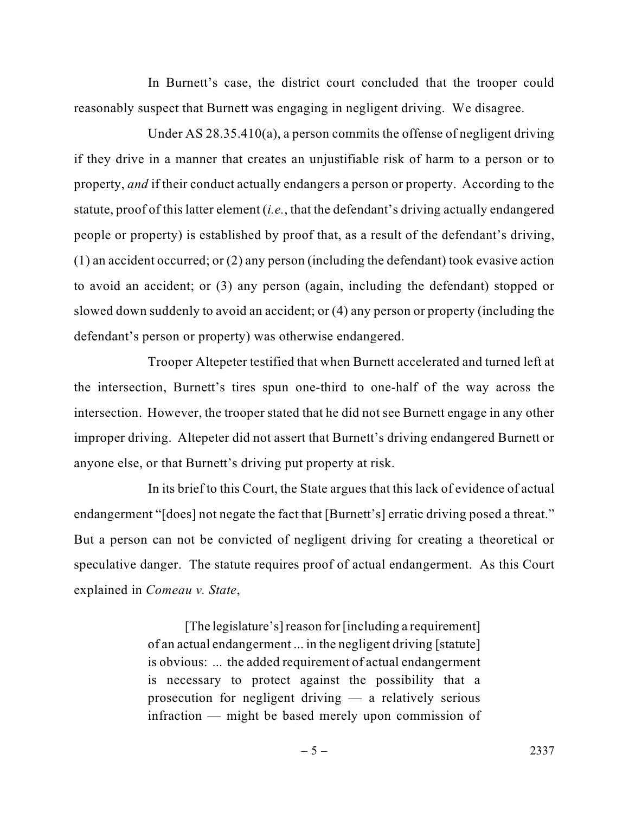In Burnett's case, the district court concluded that the trooper could reasonably suspect that Burnett was engaging in negligent driving. We disagree.

Under AS 28.35.410(a), a person commits the offense of negligent driving if they drive in a manner that creates an unjustifiable risk of harm to a person or to property, *and* if their conduct actually endangers a person or property. According to the statute, proof of this latter element (*i.e.*, that the defendant's driving actually endangered people or property) is established by proof that, as a result of the defendant's driving, (1) an accident occurred; or (2) any person (including the defendant) took evasive action to avoid an accident; or (3) any person (again, including the defendant) stopped or slowed down suddenly to avoid an accident; or (4) any person or property (including the defendant's person or property) was otherwise endangered.

Trooper Altepeter testified that when Burnett accelerated and turned left at the intersection, Burnett's tires spun one-third to one-half of the way across the intersection. However, the trooper stated that he did not see Burnett engage in any other improper driving. Altepeter did not assert that Burnett's driving endangered Burnett or anyone else, or that Burnett's driving put property at risk.

In its brief to this Court, the State argues that this lack of evidence of actual endangerment "[does] not negate the fact that [Burnett's] erratic driving posed a threat." But a person can not be convicted of negligent driving for creating a theoretical or speculative danger. The statute requires proof of actual endangerment. As this Court explained in *Comeau v. State*,

> [The legislature's] reason for [including a requirement] of an actual endangerment ... in the negligent driving [statute] is obvious: ... the added requirement of actual endangerment is necessary to protect against the possibility that a prosecution for negligent driving — a relatively serious infraction — might be based merely upon commission of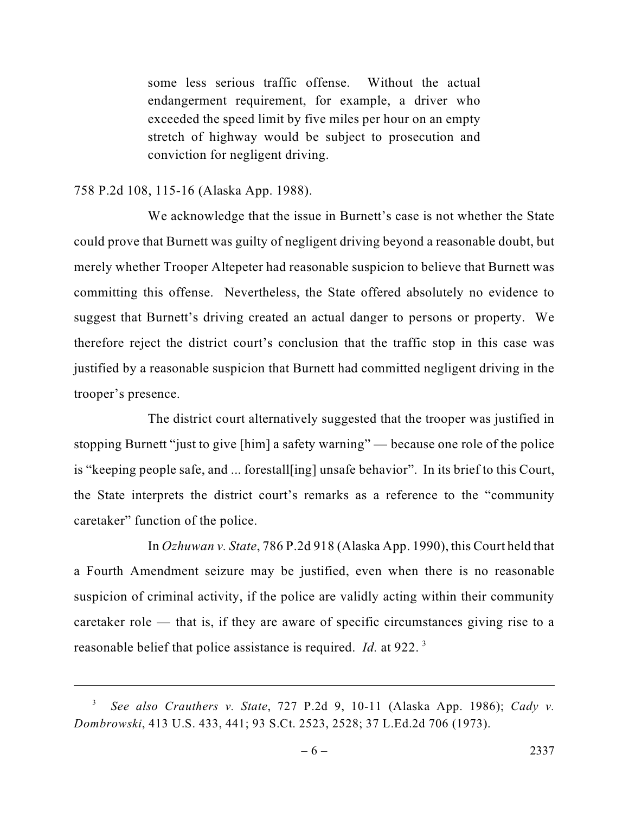some less serious traffic offense. Without the actual endangerment requirement, for example, a driver who exceeded the speed limit by five miles per hour on an empty stretch of highway would be subject to prosecution and conviction for negligent driving.

### 758 P.2d 108, 115-16 (Alaska App. 1988).

We acknowledge that the issue in Burnett's case is not whether the State could prove that Burnett was guilty of negligent driving beyond a reasonable doubt, but merely whether Trooper Altepeter had reasonable suspicion to believe that Burnett was committing this offense. Nevertheless, the State offered absolutely no evidence to suggest that Burnett's driving created an actual danger to persons or property. We therefore reject the district court's conclusion that the traffic stop in this case was justified by a reasonable suspicion that Burnett had committed negligent driving in the trooper's presence.

The district court alternatively suggested that the trooper was justified in stopping Burnett "just to give [him] a safety warning" — because one role of the police is "keeping people safe, and ... forestall[ing] unsafe behavior". In its brief to this Court, the State interprets the district court's remarks as a reference to the "community caretaker" function of the police.

In *Ozhuwan v. State*, 786 P.2d 918 (Alaska App. 1990), this Court held that a Fourth Amendment seizure may be justified, even when there is no reasonable suspicion of criminal activity, if the police are validly acting within their community caretaker role — that is, if they are aware of specific circumstances giving rise to a reasonable belief that police assistance is required. *Id.* at 922. <sup>3</sup>

<sup>3</sup>*See also Crauthers v. State*, 727 P.2d 9, 10-11 (Alaska App. 1986); *Cady v. Dombrowski*, 413 U.S. 433, 441; 93 S.Ct. 2523, 2528; 37 L.Ed.2d 706 (1973).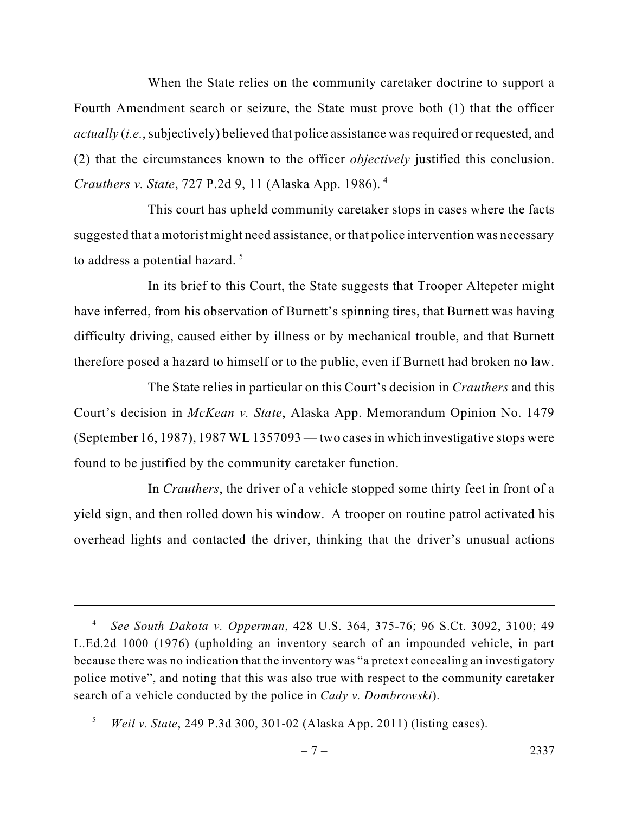When the State relies on the community caretaker doctrine to support a Fourth Amendment search or seizure, the State must prove both (1) that the officer *actually* (*i.e.*, subjectively) believed that police assistance was required or requested, and (2) that the circumstances known to the officer *objectively* justified this conclusion. *Crauthers v. State*, 727 P.2d 9, 11 (Alaska App. 1986). <sup>4</sup>

This court has upheld community caretaker stops in cases where the facts suggested that a motorist might need assistance, or that police intervention was necessary to address a potential hazard.<sup>5</sup>

In its brief to this Court, the State suggests that Trooper Altepeter might have inferred, from his observation of Burnett's spinning tires, that Burnett was having difficulty driving, caused either by illness or by mechanical trouble, and that Burnett therefore posed a hazard to himself or to the public, even if Burnett had broken no law.

The State relies in particular on this Court's decision in *Crauthers* and this Court's decision in *McKean v. State*, Alaska App. Memorandum Opinion No. 1479 (September 16, 1987), 1987 WL 1357093 — two casesin which investigative stops were found to be justified by the community caretaker function.

In *Crauthers*, the driver of a vehicle stopped some thirty feet in front of a yield sign, and then rolled down his window. A trooper on routine patrol activated his overhead lights and contacted the driver, thinking that the driver's unusual actions

<sup>4</sup>*See South Dakota v. Opperman*, 428 U.S. 364, 375-76; 96 S.Ct. 3092, 3100; 49 L.Ed.2d 1000 (1976) (upholding an inventory search of an impounded vehicle, in part because there was no indication that the inventory was "a pretext concealing an investigatory police motive", and noting that this was also true with respect to the community caretaker search of a vehicle conducted by the police in *Cady v. Dombrowski*).

<sup>5</sup>*Weil v. State*, 249 P.3d 300, 301-02 (Alaska App. 2011) (listing cases).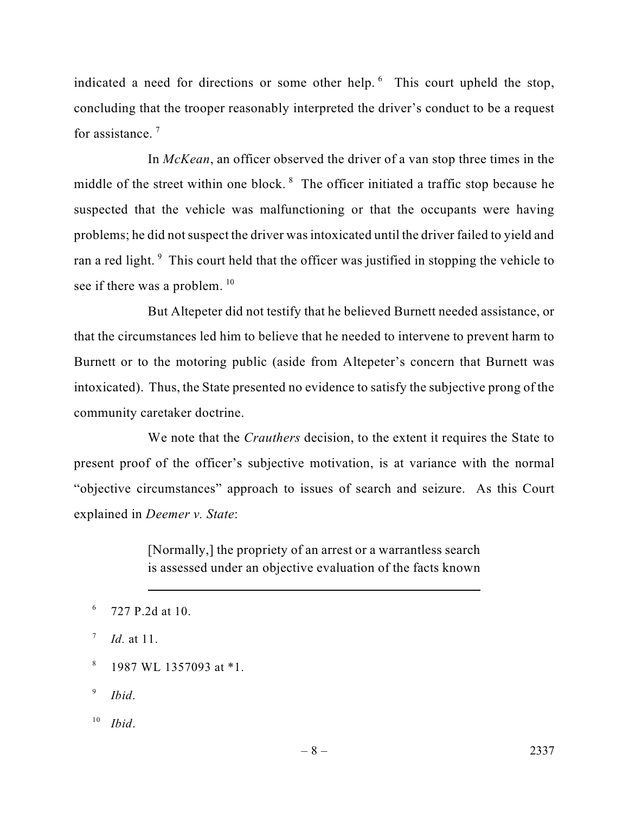indicated a need for directions or some other help. 6 This court upheld the stop, concluding that the trooper reasonably interpreted the driver's conduct to be a request for assistance.<sup>7</sup>

In *McKean*, an officer observed the driver of a van stop three times in the middle of the street within one block. 8 The officer initiated a traffic stop because he suspected that the vehicle was malfunctioning or that the occupants were having problems; he did not suspect the driver was intoxicated until the driver failed to yield and ran a red light.<sup>9</sup> This court held that the officer was justified in stopping the vehicle to see if there was a problem. <sup>10</sup>

But Altepeter did not testify that he believed Burnett needed assistance, or that the circumstances led him to believe that he needed to intervene to prevent harm to Burnett or to the motoring public (aside from Altepeter's concern that Burnett was intoxicated). Thus, the State presented no evidence to satisfy the subjective prong of the community caretaker doctrine.

We note that the *Crauthers* decision, to the extent it requires the State to present proof of the officer's subjective motivation, is at variance with the normal "objective circumstances" approach to issues of search and seizure. As this Court explained in *Deemer v. State*:

> [Normally,] the propriety of an arrest or a warrantless search is assessed under an objective evaluation of the facts known

<sup>9</sup>*Ibid*.

<sup>10</sup> *Ibid*.

 $6$  727 P.2d at 10.

<sup>7</sup>*Id.* at 11.

 $8$  1987 WL 1357093 at  $*1$ .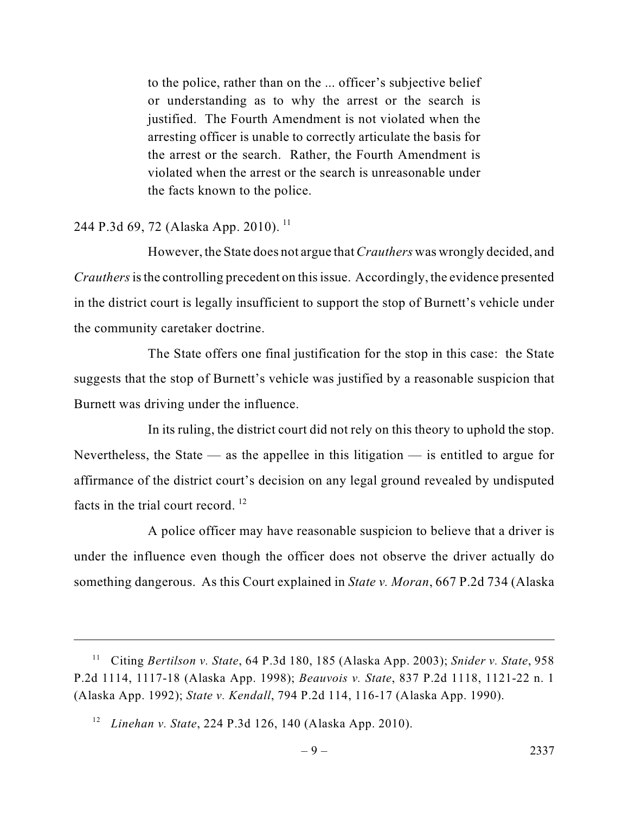to the police, rather than on the ... officer's subjective belief or understanding as to why the arrest or the search is justified. The Fourth Amendment is not violated when the arresting officer is unable to correctly articulate the basis for the arrest or the search. Rather, the Fourth Amendment is violated when the arrest or the search is unreasonable under the facts known to the police.

## 244 P.3d 69, 72 (Alaska App. 2010).<sup>11</sup>

However, the State does not argue that*Crauthers* was wrongly decided, and *Crauthers* is the controlling precedent on this issue. Accordingly, the evidence presented in the district court is legally insufficient to support the stop of Burnett's vehicle under the community caretaker doctrine.

The State offers one final justification for the stop in this case: the State suggests that the stop of Burnett's vehicle was justified by a reasonable suspicion that Burnett was driving under the influence.

In its ruling, the district court did not rely on this theory to uphold the stop. Nevertheless, the State — as the appellee in this litigation — is entitled to argue for affirmance of the district court's decision on any legal ground revealed by undisputed facts in the trial court record.  $12$ 

A police officer may have reasonable suspicion to believe that a driver is under the influence even though the officer does not observe the driver actually do something dangerous. As this Court explained in *State v. Moran*, 667 P.2d 734 (Alaska

<sup>11</sup> Citing *Bertilson v. State*, 64 P.3d 180, 185 (Alaska App. 2003); *Snider v. State*, 958 P.2d 1114, 1117-18 (Alaska App. 1998); *Beauvois v. State*, 837 P.2d 1118, 1121-22 n. 1 (Alaska App. 1992); *State v. Kendall*, 794 P.2d 114, 116-17 (Alaska App. 1990).

<sup>12</sup> *Linehan v. State*, 224 P.3d 126, 140 (Alaska App. 2010).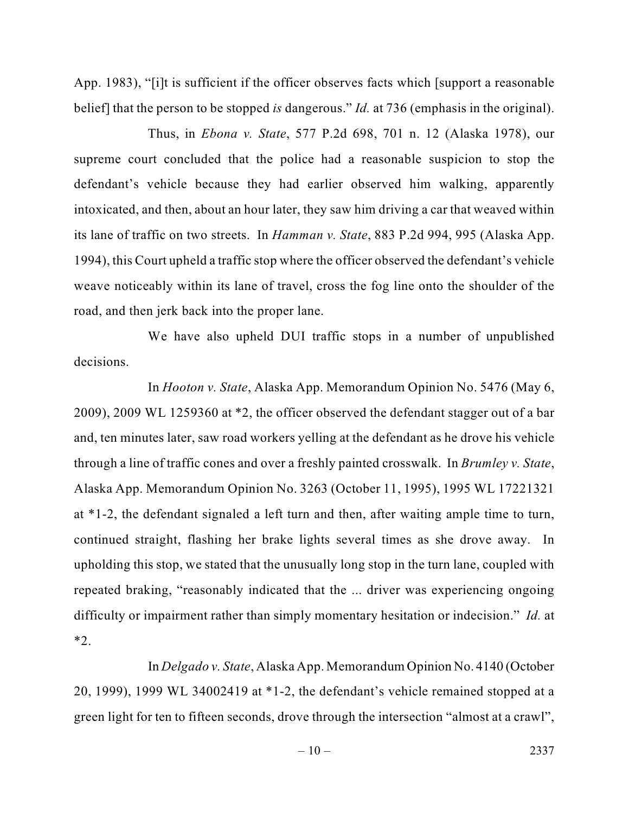App. 1983), "[i]t is sufficient if the officer observes facts which [support a reasonable belief] that the person to be stopped *is* dangerous." *Id.* at 736 (emphasis in the original).

Thus, in *Ebona v. State*, 577 P.2d 698, 701 n. 12 (Alaska 1978), our supreme court concluded that the police had a reasonable suspicion to stop the defendant's vehicle because they had earlier observed him walking, apparently intoxicated, and then, about an hour later, they saw him driving a car that weaved within its lane of traffic on two streets. In *Hamman v. State*, 883 P.2d 994, 995 (Alaska App. 1994), this Court upheld a traffic stop where the officer observed the defendant's vehicle weave noticeably within its lane of travel, cross the fog line onto the shoulder of the road, and then jerk back into the proper lane.

We have also upheld DUI traffic stops in a number of unpublished decisions.

In *Hooton v. State*, Alaska App. Memorandum Opinion No. 5476 (May 6, 2009), 2009 WL 1259360 at \*2, the officer observed the defendant stagger out of a bar and, ten minutes later, saw road workers yelling at the defendant as he drove his vehicle through a line of traffic cones and over a freshly painted crosswalk. In *Brumley v. State*, Alaska App. Memorandum Opinion No. 3263 (October 11, 1995), 1995 WL 17221321 at \*1-2, the defendant signaled a left turn and then, after waiting ample time to turn, continued straight, flashing her brake lights several times as she drove away. In upholding this stop, we stated that the unusually long stop in the turn lane, coupled with repeated braking, "reasonably indicated that the ... driver was experiencing ongoing difficulty or impairment rather than simply momentary hesitation or indecision." *Id.* at \*2.

In *Delgado v. State*, Alaska App. Memorandum Opinion No. 4140 (October 20, 1999), 1999 WL 34002419 at \*1-2, the defendant's vehicle remained stopped at a green light for ten to fifteen seconds, drove through the intersection "almost at a crawl",

 $-10-2337$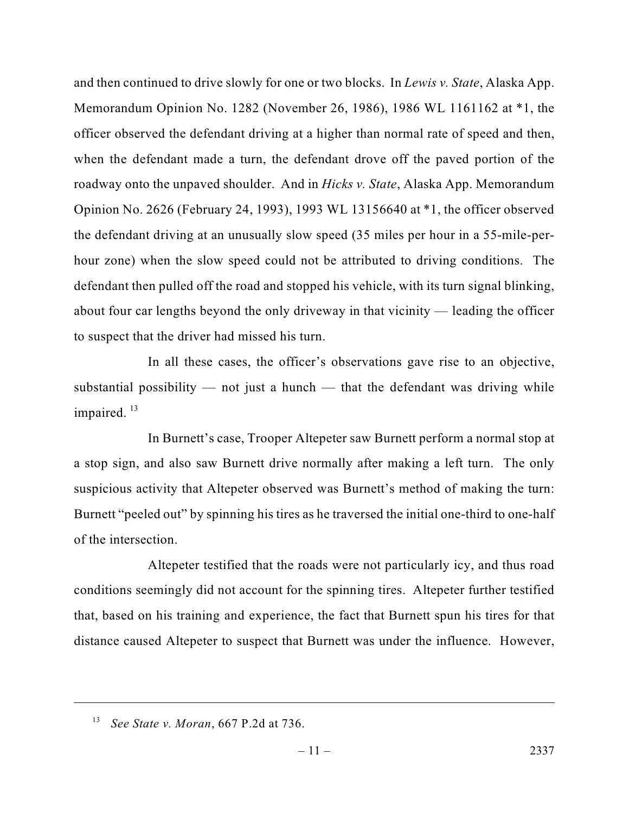and then continued to drive slowly for one or two blocks. In *Lewis v. State*, Alaska App. Memorandum Opinion No. 1282 (November 26, 1986), 1986 WL 1161162 at \*1, the officer observed the defendant driving at a higher than normal rate of speed and then, when the defendant made a turn, the defendant drove off the paved portion of the roadway onto the unpaved shoulder. And in *Hicks v. State*, Alaska App. Memorandum Opinion No. 2626 (February 24, 1993), 1993 WL 13156640 at \*1, the officer observed the defendant driving at an unusually slow speed (35 miles per hour in a 55-mile-perhour zone) when the slow speed could not be attributed to driving conditions. The defendant then pulled off the road and stopped his vehicle, with its turn signal blinking, about four car lengths beyond the only driveway in that vicinity — leading the officer to suspect that the driver had missed his turn.

In all these cases, the officer's observations gave rise to an objective, substantial possibility  $-$  not just a hunch  $-$  that the defendant was driving while impaired.<sup>13</sup>

In Burnett's case, Trooper Altepeter saw Burnett perform a normal stop at a stop sign, and also saw Burnett drive normally after making a left turn. The only suspicious activity that Altepeter observed was Burnett's method of making the turn: Burnett "peeled out" by spinning his tires as he traversed the initial one-third to one-half of the intersection.

Altepeter testified that the roads were not particularly icy, and thus road conditions seemingly did not account for the spinning tires. Altepeter further testified that, based on his training and experience, the fact that Burnett spun his tires for that distance caused Altepeter to suspect that Burnett was under the influence. However,

<sup>13</sup> *See State v. Moran*, 667 P.2d at 736.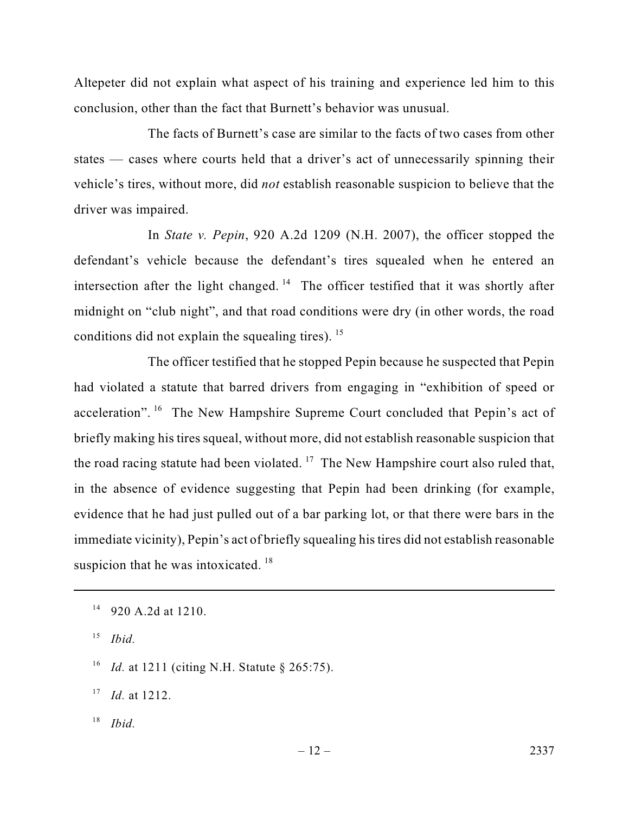Altepeter did not explain what aspect of his training and experience led him to this conclusion, other than the fact that Burnett's behavior was unusual.

The facts of Burnett's case are similar to the facts of two cases from other states — cases where courts held that a driver's act of unnecessarily spinning their vehicle's tires, without more, did *not* establish reasonable suspicion to believe that the driver was impaired.

In *State v. Pepin*, 920 A.2d 1209 (N.H. 2007), the officer stopped the defendant's vehicle because the defendant's tires squealed when he entered an intersection after the light changed.<sup>14</sup> The officer testified that it was shortly after midnight on "club night", and that road conditions were dry (in other words, the road conditions did not explain the squealing tires).  $15$ 

The officer testified that he stopped Pepin because he suspected that Pepin had violated a statute that barred drivers from engaging in "exhibition of speed or acceleration". <sup>16</sup> The New Hampshire Supreme Court concluded that Pepin's act of briefly making his tires squeal, without more, did not establish reasonable suspicion that the road racing statute had been violated.<sup>17</sup> The New Hampshire court also ruled that, in the absence of evidence suggesting that Pepin had been drinking (for example, evidence that he had just pulled out of a bar parking lot, or that there were bars in the immediate vicinity), Pepin's act of briefly squealing histires did not establish reasonable suspicion that he was intoxicated.<sup>18</sup>

<sup>18</sup> *Ibid.*

<sup>14</sup> 920 A.2d at 1210.

<sup>15</sup> *Ibid.*

<sup>16</sup> *Id.* at 1211 (citing N.H. Statute § 265:75).

<sup>17</sup> *Id.* at 1212.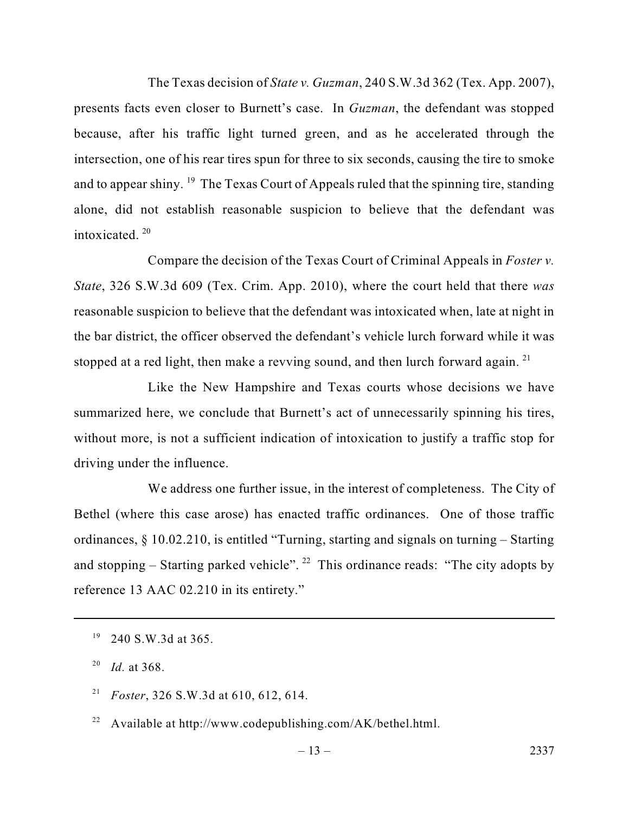The Texas decision of *State v. Guzman*, 240 S.W.3d 362 (Tex. App. 2007), presents facts even closer to Burnett's case. In *Guzman*, the defendant was stopped because, after his traffic light turned green, and as he accelerated through the intersection, one of his rear tires spun for three to six seconds, causing the tire to smoke and to appear shiny. <sup>19</sup> The Texas Court of Appeals ruled that the spinning tire, standing alone, did not establish reasonable suspicion to believe that the defendant was intoxicated.  $20$ 

Compare the decision of the Texas Court of Criminal Appeals in *Foster v. State*, 326 S.W.3d 609 (Tex. Crim. App. 2010), where the court held that there *was* reasonable suspicion to believe that the defendant was intoxicated when, late at night in the bar district, the officer observed the defendant's vehicle lurch forward while it was stopped at a red light, then make a revving sound, and then lurch forward again.<sup>21</sup>

Like the New Hampshire and Texas courts whose decisions we have summarized here, we conclude that Burnett's act of unnecessarily spinning his tires, without more, is not a sufficient indication of intoxication to justify a traffic stop for driving under the influence.

We address one further issue, in the interest of completeness. The City of Bethel (where this case arose) has enacted traffic ordinances. One of those traffic ordinances, § 10.02.210, is entitled "Turning, starting and signals on turning – Starting and stopping – Starting parked vehicle". <sup>22</sup> This ordinance reads: "The city adopts by reference 13 AAC 02.210 in its entirety."

- <sup>21</sup> *Foster*, 326 S.W.3d at 610, 612, 614.
- <sup>22</sup> Available at http://www.codepublishing.com/AK/bethel.html.

 $19$  240 S.W.3d at 365.

<sup>20</sup> *Id.* at 368.